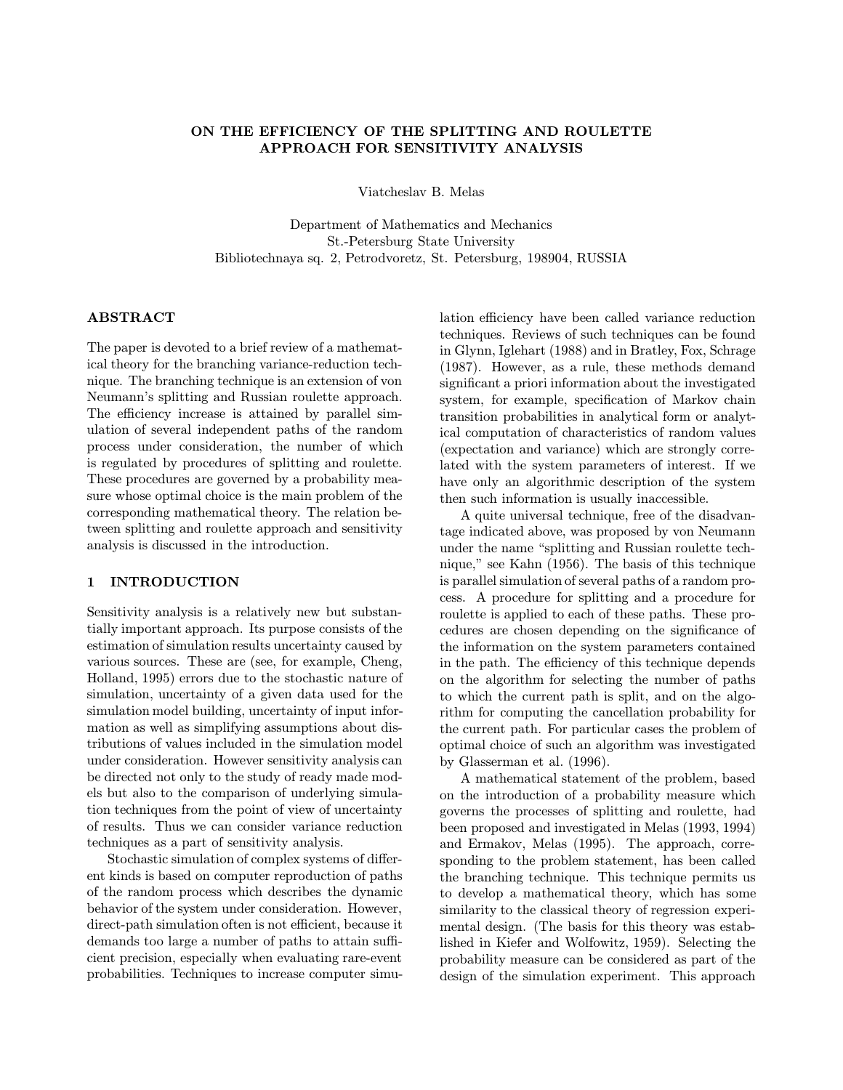# ON THE EFFICIENCY OF THE SPLITTING AND ROULETTE APPROACH FOR SENSITIVITY ANALYSIS

Viatcheslav B. Melas

Department of Mathematics and Mechanics St.-Petersburg State University Bibliotechnaya sq. 2, Petrodvoretz, St. Petersburg, 198904, RUSSIA

# ABSTRACT

The paper is devoted to a brief review of a mathematical theory for the branching variance-reduction technique. The branching technique is an extension of von Neumann's splitting and Russian roulette approach. The efficiency increase is attained by parallel simulation of several independent paths of the random process under consideration, the number of which is regulated by procedures of splitting and roulette. These procedures are governed by a probability measure whose optimal choice is the main problem of the corresponding mathematical theory. The relation between splitting and roulette approach and sensitivity analysis is discussed in the introduction.

# 1 INTRODUCTION

Sensitivity analysis is a relatively new but substantially important approach. Its purpose consists of the estimation of simulation results uncertainty caused by various sources. These are (see, for example, Cheng, Holland, 1995) errors due to the stochastic nature of simulation, uncertainty of a given data used for the simulation model building, uncertainty of input information as well as simplifying assumptions about distributions of values included in the simulation model under consideration. However sensitivity analysis can be directed not only to the study of ready made models but also to the comparison of underlying simulation techniques from the point of view of uncertainty of results. Thus we can consider variance reduction techniques as a part of sensitivity analysis.

Stochastic simulation of complex systems of different kinds is based on computer reproduction of paths of the random process which describes the dynamic behavior of the system under consideration. However, direct-path simulation often is not efficient, because it demands too large a number of paths to attain sufficient precision, especially when evaluating rare-event probabilities. Techniques to increase computer simulation efficiency have been called variance reduction techniques. Reviews of such techniques can be found in Glynn, Iglehart (1988) and in Bratley, Fox, Schrage (1987). However, as a rule, these methods demand significant a priori information about the investigated system, for example, specification of Markov chain transition probabilities in analytical form or analytical computation of characteristics of random values (expectation and variance) which are strongly correlated with the system parameters of interest. If we have only an algorithmic description of the system then such information is usually inaccessible.

A quite universal technique, free of the disadvantage indicated above, was proposed by von Neumann under the name "splitting and Russian roulette technique," see Kahn (1956). The basis of this technique is parallel simulation of several paths of a random process. A procedure for splitting and a procedure for roulette is applied to each of these paths. These procedures are chosen depending on the significance of the information on the system parameters contained in the path. The efficiency of this technique depends on the algorithm for selecting the number of paths to which the current path is split, and on the algorithm for computing the cancellation probability for the current path. For particular cases the problem of optimal choice of such an algorithm was investigated by Glasserman et al. (1996).

A mathematical statement of the problem, based on the introduction of a probability measure which governs the processes of splitting and roulette, had been proposed and investigated in Melas (1993, 1994) and Ermakov, Melas (1995). The approach, corresponding to the problem statement, has been called the branching technique. This technique permits us to develop a mathematical theory, which has some similarity to the classical theory of regression experimental design. (The basis for this theory was established in Kiefer and Wolfowitz, 1959). Selecting the probability measure can be considered as part of the design of the simulation experiment. This approach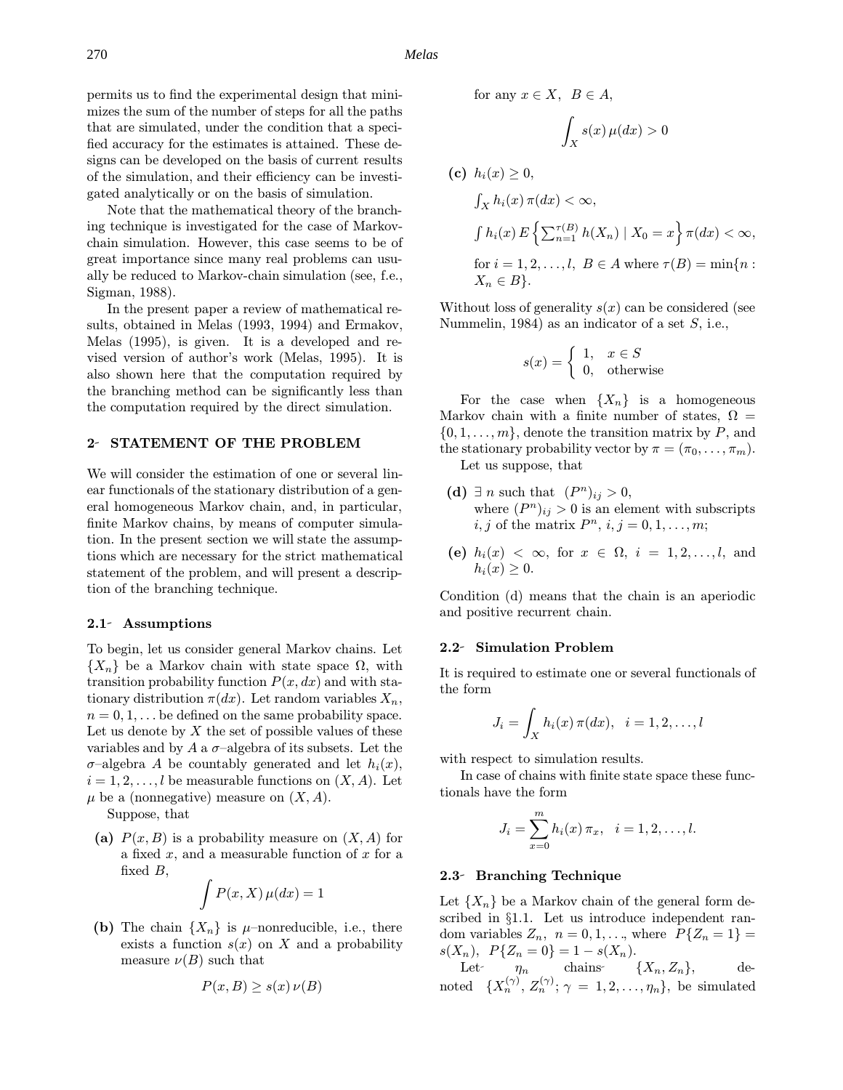270 *Melas*

permits us to find the experimental design that minimizes the sum of the number of steps for all the paths that are simulated, under the condition that a specified accuracy for the estimates is attained. These designs can be developed on the basis of current results of the simulation, and their efficiency can be investigated analytically or on the basis of simulation.

Note that the mathematical theory of the branching technique is investigated for the case of Markovchain simulation. However, this case seems to be of great importance since many real problems can usually be reduced to Markov-chain simulation (see, f.e., Sigman, 1988).

In the present paper a review of mathematical results, obtained in Melas (1993, 1994) and Ermakov, Melas (1995), is given. It is a developed and revised version of author's work (Melas, 1995). It is also shown here that the computation required by the branching method can be significantly less than the computation required by the direct simulation.

## 2- STATEMENT OF THE PROBLEM

We will consider the estimation of one or several linear functionals of the stationary distribution of a general homogeneous Markov chain, and, in particular, finite Markov chains, by means of computer simulation. In the present section we will state the assumptions which are necessary for the strict mathematical statement of the problem, and will present a description of the branching technique.

#### 2.1 Assumptions

To begin, let us consider general Markov chains. Let  ${X_n}$  be a Markov chain with state space  $\Omega$ , with transition probability function  $P(x, dx)$  and with stationary distribution  $\pi(dx)$ . Let random variables  $X_n$ ,  $n = 0, 1, \ldots$  be defined on the same probability space. Let us denote by  $X$  the set of possible values of these variables and by A a  $\sigma$ -algebra of its subsets. Let the  $\sigma$ -algebra A be countably generated and let  $h_i(x)$ ,  $i = 1, 2, \ldots, l$  be measurable functions on  $(X, A)$ . Let  $\mu$  be a (nonnegative) measure on  $(X, A)$ .

Suppose, that

(a)  $P(x, B)$  is a probability measure on  $(X, A)$  for a fixed  $x$ , and a measurable function of  $x$  for a fixed  $B$ ,

$$
\int P(x, X) \,\mu(dx) = 1
$$

(b) The chain  $\{X_n\}$  is  $\mu$ –nonreducible, i.e., there exists a function  $s(x)$  on X and a probability measure  $\nu(B)$  such that

$$
P(x, B) \ge s(x) \nu(B)
$$

for any  $x \in X$ ,  $B \in A$ ,

$$
\int_X s(x)\,\mu(dx) > 0
$$

(c) 
$$
h_i(x) \ge 0
$$
,  
\n
$$
\int_X h_i(x) \pi(dx) < \infty
$$
,  
\n
$$
\int h_i(x) E\left\{ \sum_{n=1}^{\tau(B)} h(X_n) \mid X_0 = x \right\} \pi(dx) < \infty
$$
,  
\nfor  $i = 1, 2, ..., l$ ,  $B \in A$  where  $\tau(B) = \min\{n : X_n \in B\}$ .

Without loss of generality  $s(x)$  can be considered (see Nummelin, 1984) as an indicator of a set  $S$ , i.e.,

$$
s(x) = \begin{cases} 1, & x \in S \\ 0, & \text{otherwise} \end{cases}
$$

For the case when  $\{X_n\}$  is a homogeneous Markov chain with a finite number of states,  $\Omega =$  $\{0, 1, \ldots, m\}$ , denote the transition matrix by P, and the stationary probability vector by  $\pi = (\pi_0, \ldots, \pi_m)$ . Let us suppose, that

- (d)  $\exists n$  such that  $(P^n)_{ij} > 0$ , where  $(P^n)_{ij} > 0$  is an element with subscripts  $i, j$  of the matrix  $P^n$ ,  $i, j = 0, 1, \ldots, m;$
- (e)  $h_i(x) < \infty$ , for  $x \in \Omega$ ,  $i = 1, 2, \ldots, l$ , and  $h_i(x) \geq 0$ .

Condition (d) means that the chain is an aperiodic and positive recurrent chain.

## 2.2 Simulation Problem

It is required to estimate one or several functionals of the form

$$
J_i = \int_X h_i(x) \,\pi(dx), \quad i = 1, 2, \ldots, l
$$

with respect to simulation results.

In case of chains with finite state space these functionals have the form

$$
J_i = \sum_{x=0}^{m} h_i(x) \, \pi_x, \quad i = 1, 2, \dots, l.
$$

## 2.3- Branching Technique

Let  ${X_n}$  be a Markov chain of the general form described in §1.1. Let us introduce independent random variables  $Z_n$ ,  $n = 0, 1, \ldots$ , where  $P\{Z_n = 1\}$  $s(X_n), P\{Z_n = 0\} = 1 - s(X_n).$ 

Let  $\eta_n$  chains  $\{X_n, Z_n\}$ , denoted  $\{X_n^{(\gamma)}, Z_n^{(\gamma)}; \gamma = 1, 2, \ldots, \eta_n\}$ , be simulated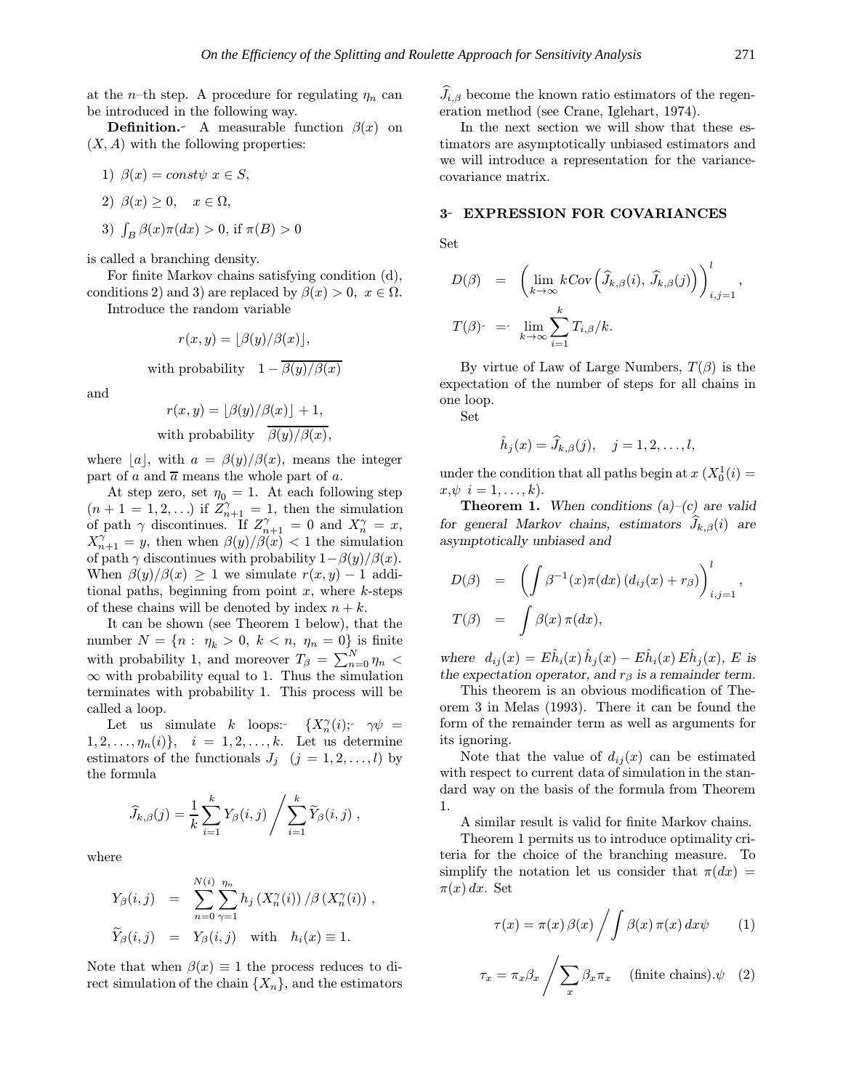at the *n*-th step. A procedure for regulating  $\eta_n$  can be introduced in the following way.

**Definition.** A measurable function  $\beta(x)$  on  $(X, A)$  with the following properties:

1)  $\beta(x) = const\psi \ x \in S$ , 2)  $\beta(x) \geq 0$ ,  $x \in \Omega$ ,

3) 
$$
\int_B \beta(x)\pi(dx) > 0
$$
, if  $\pi(B) > 0$ 

is called a branching density.

For finite Markov chains satisfying condition (d), conditions 2) and 3) are replaced by  $\beta(x) > 0$ ,  $x \in \Omega$ .

Introduce the random variable

 $r(x, y) = \frac{\beta(y)}{\beta(x)},$ with probability  $1 - \overline{\beta(y)/\beta(x)}$ 

and

$$
r(x, y) = \lfloor \beta(y)/\beta(x) \rfloor + 1,
$$
  
with probability  $\frac{\beta(y)}{\beta(y)/\beta(x)}$ ,

where |a|, with  $a = \beta(y)/\beta(x)$ , means the integer part of a and  $\overline{a}$  means the whole part of a.

At step zero, set  $\eta_0 = 1$ . At each following step  $(n+1=1,2,...)$  if  $Z_{n+1}^{\gamma}=1$ , then the simulation of path  $\gamma$  discontinues. If  $Z_{n+1}^{\gamma} = 0$  and  $X_n^{\gamma} = x$ ,  $X_{n+1}^{\gamma} = y$ , then when  $\beta(y)/\beta(x) < 1$  the simulation of path  $\gamma$  discontinues with probability  $1-\beta(y)/\beta(x)$ . When  $\beta(y)/\beta(x) \geq 1$  we simulate  $r(x, y) - 1$  additional paths, beginning from point  $x$ , where  $k$ -steps of these chains will be denoted by index  $n + k$ .

It can be shown (see Theorem 1 below), that the number  $N = \{n : \eta_k > 0, k < n, \eta_n = 0\}$  is finite with probability 1, and moreover  $T_{\beta} = \sum_{n=0}^{N} \eta_n$  $\infty$  with probability equal to 1. Thus the simulation terminates with probability 1. This process will be called a loop.

Let us simulate k loops:  $\{X_n^{\gamma}(i)$ ;  $\gamma \psi =$  $1, 2, \ldots, \eta_n(i) \}, i = 1, 2, \ldots, k.$  Let us determine estimators of the functionals  $J_i$   $(j = 1, 2, \ldots, l)$  by the formula

$$
\widehat{J}_{k,\beta}(j) = \frac{1}{k} \sum_{i=1}^{k} Y_{\beta}(i,j) / \sum_{i=1}^{k} \widetilde{Y}_{\beta}(i,j) ,
$$

where

$$
Y_{\beta}(i,j) = \sum_{n=0}^{N(i)} \sum_{\gamma=1}^{\eta_n} h_j(X_n^{\gamma}(i)) / \beta(X_n^{\gamma}(i)),
$$
  

$$
\widetilde{Y}_{\beta}(i,j) = Y_{\beta}(i,j) \text{ with } h_i(x) \equiv 1.
$$

Note that when  $\beta(x) \equiv 1$  the process reduces to direct simulation of the chain  $\{X_n\}$ , and the estimators

 $J_{i,\beta}$  become the known ratio estimators of the regeneration method (see Crane, Iglehart, 1974).

In the next section we will show that these estimators are asymptotically unbiased estimators and we will introduce a representation for the variancecovariance matrix.

## 3- EXPRESSION FOR COVARIANCES

Set

$$
D(\beta) = \left( \lim_{k \to \infty} k \text{Cov} \left( \widehat{J}_{k,\beta}(i), \widehat{J}_{k,\beta}(j) \right) \right)_{i,j=1}^l,
$$
  

$$
T(\beta) = \lim_{k \to \infty} \sum_{i=1}^k T_{i,\beta}/k.
$$

By virtue of Law of Large Numbers,  $T(\beta)$  is the expectation of the number of steps for all chains in one loop.

Set

$$
\hat{h}_j(x) = \widehat{J}_{k,\beta}(j), \quad j = 1, 2, \dots, l,
$$

under the condition that all paths begin at  $x(X_0^1(i) =$  $x, \psi \, i = 1, \ldots, k$ .

**Theorem 1.** When conditions  $(a)$ – $(c)$  are valid for general Markov chains, estimators  $J_{k,\beta}(i)$  are asymptotically unbiased and

$$
D(\beta) = \left( \int \beta^{-1}(x) \pi(dx) (d_{ij}(x) + r_{\beta}) \right)_{i,j=1}^l,
$$
  

$$
T(\beta) = \int \beta(x) \pi(dx),
$$

where  $d_{ij}(x) = E\hat{h}_i(x)\hat{h}_j(x) - E\hat{h}_i(x)E\hat{h}_j(x)$ , E is the expectation operator, and  $r_\beta$  is a remainder term.

This theorem is an obvious modification of Theorem 3 in Melas (1993). There it can be found the form of the remainder term as well as arguments for its ignoring.

Note that the value of  $d_{ij}(x)$  can be estimated with respect to current data of simulation in the standard way on the basis of the formula from Theorem 1.

A similar result is valid for finite Markov chains.

Theorem 1 permits us to introduce optimality criteria for the choice of the branching measure. To simplify the notation let us consider that  $\pi(dx)$  $\pi(x) dx$ . Set

$$
\tau(x) = \pi(x) \beta(x) / \int \beta(x) \, \pi(x) \, dx \psi \qquad (1)
$$

$$
\tau_x = \pi_x \beta_x \left/ \sum_x \beta_x \pi_x \right. \quad \text{(finite chains)}.\psi \quad (2)
$$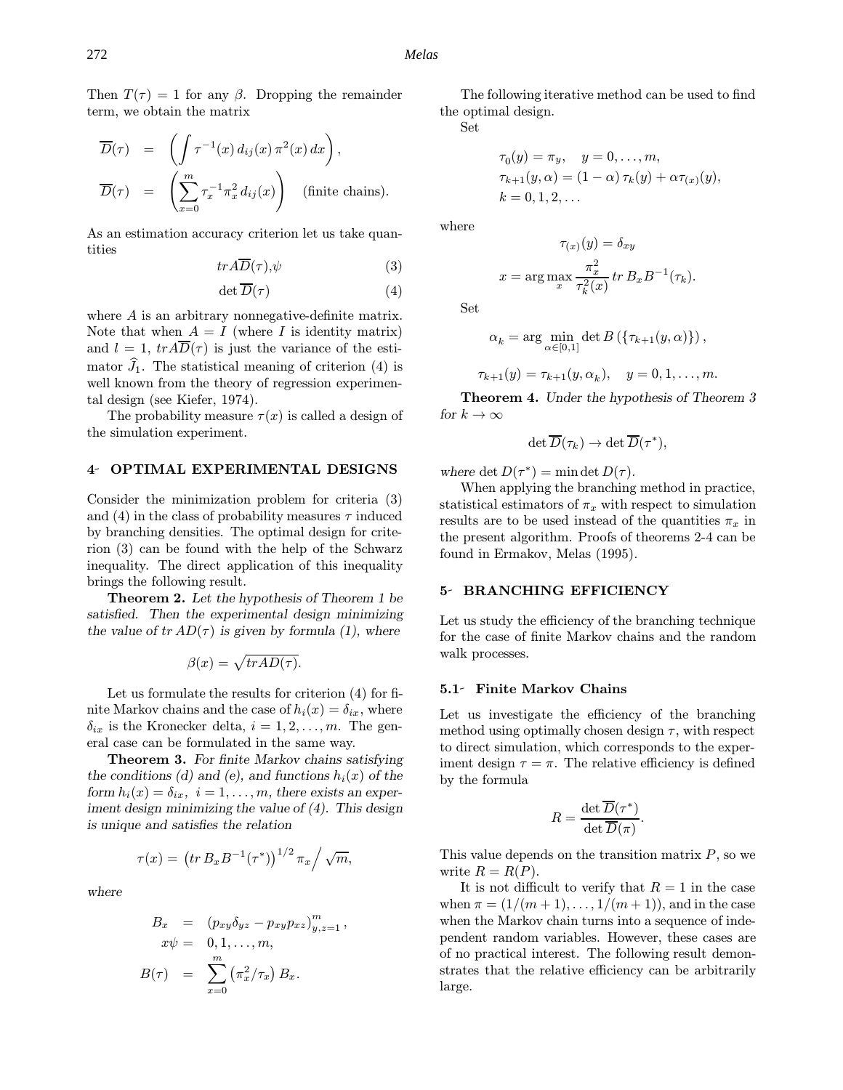272 *Melas*

Then  $T(\tau) = 1$  for any  $\beta$ . Dropping the remainder term, we obtain the matrix

$$
\overline{D}(\tau) = \left( \int \tau^{-1}(x) d_{ij}(x) \pi^{2}(x) dx \right),
$$
  

$$
\overline{D}(\tau) = \left( \sum_{x=0}^{m} \tau_{x}^{-1} \pi_{x}^{2} d_{ij}(x) \right) \text{ (finite chains)}.
$$

As an estimation accuracy criterion let us take quantities

$$
tr\, \overline{D}(\tau), \psi \tag{3}
$$

$$
\det \overline{D}(\tau) \tag{4}
$$

where A is an arbitrary nonnegative-definite matrix. Note that when  $A = I$  (where I is identity matrix) and  $l = 1$ ,  $tr A\overline{D}(\tau)$  is just the variance of the estimator  $J_1$ . The statistical meaning of criterion (4) is well known from the theory of regression experimental design (see Kiefer, 1974).

The probability measure  $\tau(x)$  is called a design of the simulation experiment.

#### 4 OPTIMAL EXPERIMENTAL DESIGNS

Consider the minimization problem for criteria (3) and (4) in the class of probability measures  $\tau$  induced by branching densities. The optimal design for criterion (3) can be found with the help of the Schwarz inequality. The direct application of this inequality brings the following result.

Theorem 2. Let the hypothesis of Theorem 1 be satisfied. Then the experimental design minimizing the value of  $tr AD(\tau)$  is given by formula (1), where

 $\beta(x) = \sqrt{trAD(\tau)}$ .

Let us formulate the results for criterion (4) for finite Markov chains and the case of  $h_i(x) = \delta_{ix}$ , where  $\delta_{ix}$  is the Kronecker delta,  $i = 1, 2, \ldots, m$ . The general case can be formulated in the same way.

Theorem 3. For finite Markov chains satisfying the conditions (d) and (e), and functions  $h_i(x)$  of the form  $h_i(x) = \delta_{ix}, i = 1, \ldots, m$ , there exists an experiment design minimizing the value of (4). This design is unique and satisfies the relation

$$
\tau(x) = (tr B_x B^{-1}(\tau^*))^{1/2} \pi_x / \sqrt{m},
$$

where

$$
B_x = (p_{xy}\delta_{yz} - p_{xy}p_{xz})_{y,z=1}^m,
$$
  
\n
$$
x\psi = 0, 1, ..., m,
$$
  
\n
$$
B(\tau) = \sum_{x=0}^m (\pi_x^2/\tau_x) B_x.
$$

The following iterative method can be used to find the optimal design.

Set

$$
\tau_0(y) = \pi_y, \quad y = 0, \dots, m,
$$
  
\n
$$
\tau_{k+1}(y, \alpha) = (1 - \alpha) \tau_k(y) + \alpha \tau_{(x)}(y),
$$
  
\n
$$
k = 0, 1, 2, \dots
$$

where

$$
x = \arg \max_{x} \frac{\pi_x^2}{\tau_k^2(x)} \operatorname{tr} B_x B^{-1}(\tau_k).
$$

 $\tau_{(x)}(y) = \delta_{xy}$ 

Set

$$
\alpha_k = \arg\min_{\alpha \in [0,1]} \det B\left(\{\tau_{k+1}(y,\alpha)\}\right),\,
$$

$$
\tau_{k+1}(y) = \tau_{k+1}(y, \alpha_k), \quad y = 0, 1, \dots, m.
$$

Theorem 4. Under the hypothesis of Theorem 3 for  $k \to \infty$ 

$$
\det \overline{D}(\tau_k) \to \det \overline{D}(\tau^*),
$$

where det  $D(\tau^*) = \min \det D(\tau)$ .

When applying the branching method in practice, statistical estimators of  $\pi_x$  with respect to simulation results are to be used instead of the quantities  $\pi_x$  in the present algorithm. Proofs of theorems 2-4 can be found in Ermakov, Melas (1995).

## 5- BRANCHING EFFICIENCY

Let us study the efficiency of the branching technique for the case of finite Markov chains and the random walk processes.

# 5.1- Finite Markov Chains

Let us investigate the efficiency of the branching method using optimally chosen design  $\tau$ , with respect to direct simulation, which corresponds to the experiment design  $\tau = \pi$ . The relative efficiency is defined by the formula

$$
R = \frac{\det \overline{D}(\tau^*)}{\det \overline{D}(\pi)}.
$$

This value depends on the transition matrix  $P$ , so we write  $R = R(P)$ .

It is not difficult to verify that  $R = 1$  in the case when  $\pi = (1/(m+1), \ldots, 1/(m+1))$ , and in the case when the Markov chain turns into a sequence of independent random variables. However, these cases are of no practical interest. The following result demonstrates that the relative efficiency can be arbitrarily large.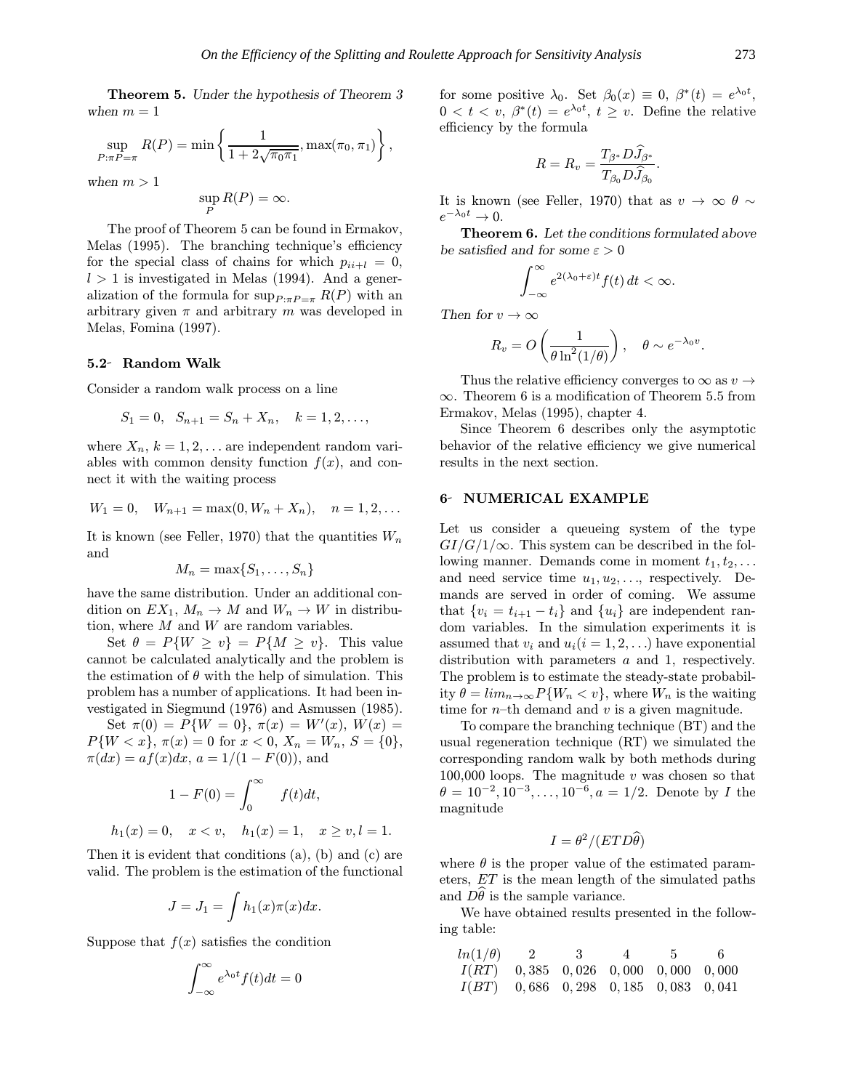Theorem 5. Under the hypothesis of Theorem 3 when  $m = 1$ 

$$
\sup_{P:\pi P=\pi} R(P) = \min \left\{ \frac{1}{1 + 2\sqrt{\pi_0 \pi_1}}, \max(\pi_0, \pi_1) \right\},\,
$$

when  $m > 1$ 

$$
\sup_P R(P) = \infty.
$$

The proof of Theorem 5 can be found in Ermakov, Melas (1995). The branching technique's efficiency for the special class of chains for which  $p_{ii+l} = 0$ ,  $l > 1$  is investigated in Melas (1994). And a generalization of the formula for  $\sup_{P:\pi P=\pi} R(P)$  with an arbitrary given  $\pi$  and arbitrary m was developed in Melas, Fomina (1997).

## 5.2 Random Walk

Consider a random walk process on a line

$$
S_1 = 0, \ \ S_{n+1} = S_n + X_n, \quad k = 1, 2, \dots,
$$

where  $X_n$ ,  $k = 1, 2, \ldots$  are independent random variables with common density function  $f(x)$ , and connect it with the waiting process

$$
W_1 = 0, \quad W_{n+1} = \max(0, W_n + X_n), \quad n = 1, 2, \dots
$$

It is known (see Feller, 1970) that the quantities  $W_n$ and

$$
M_n = \max\{S_1, \ldots, S_n\}
$$

have the same distribution. Under an additional condition on  $EX_1, M_n \to M$  and  $W_n \to W$  in distribution, where  $M$  and  $W$  are random variables.

Set  $\theta = P\{W \ge v\} = P\{M \ge v\}$ . This value cannot be calculated analytically and the problem is the estimation of  $\theta$  with the help of simulation. This problem has a number of applications. It had been investigated in Siegmund (1976) and Asmussen (1985).

Set  $\pi(0) = P\{W = 0\}, \pi(x) = W'(x), W(x) =$  $P\{W < x\}, \pi(x) = 0 \text{ for } x < 0, X_n = W_n, S = \{0\},\$  $\pi(dx) = af(x)dx, a = 1/(1 - F(0)),$  and

$$
1 - F(0) = \int_0^\infty f(t)dt,
$$
  

$$
h_1(x) = 0, \quad x < v, \quad h_1(x) = 1, \quad x \ge v, l = 1.
$$

Then it is evident that conditions (a), (b) and (c) are valid. The problem is the estimation of the functional

$$
J = J_1 = \int h_1(x)\pi(x)dx.
$$

Suppose that  $f(x)$  satisfies the condition

$$
\int_{-\infty}^{\infty} e^{\lambda_0 t} f(t) dt = 0
$$

for some positive  $\lambda_0$ . Set  $\beta_0(x) \equiv 0$ ,  $\beta^*(t) = e^{\lambda_0 t}$ ,  $0 < t < v, \ \beta^*(t) = e^{\lambda_0 t}, t \geq v.$  Define the relative efficiency by the formula

$$
R = R_v = \frac{T_{\beta^*} D \widehat{J}_{\beta^*}}{T_{\beta_0} D \widehat{J}_{\beta_0}}.
$$

It is known (see Feller, 1970) that as  $v \to \infty$   $\theta \sim$  $e^{-\lambda_0 t} \to 0.$ 

Theorem 6. Let the conditions formulated above be satisfied and for some  $\varepsilon > 0$ 

$$
\int_{-\infty}^{\infty} e^{2(\lambda_0+\varepsilon)t} f(t) dt < \infty.
$$

Then for  $v \to \infty$ 

$$
R_v = O\left(\frac{1}{\theta \ln^2(1/\theta)}\right), \quad \theta \sim e^{-\lambda_0 v}.
$$

Thus the relative efficiency converges to  $\infty$  as  $v \rightarrow$  $\infty$ . Theorem 6 is a modification of Theorem 5.5 from Ermakov, Melas (1995), chapter 4.

Since Theorem 6 describes only the asymptotic behavior of the relative efficiency we give numerical results in the next section.

#### 6 NUMERICAL EXAMPLE

Let us consider a queueing system of the type  $GI/G/1/\infty$ . This system can be described in the following manner. Demands come in moment  $t_1, t_2, \ldots$ and need service time  $u_1, u_2, \ldots$ , respectively. Demands are served in order of coming. We assume that  $\{v_i = t_{i+1} - t_i\}$  and  $\{u_i\}$  are independent random variables. In the simulation experiments it is assumed that  $v_i$  and  $u_i(i = 1, 2, ...)$  have exponential distribution with parameters a and 1, respectively. The problem is to estimate the steady-state probability  $\theta = \lim_{n \to \infty} P\{W_n < v\}$ , where  $W_n$  is the waiting time for  $n$ –th demand and  $v$  is a given magnitude.

To compare the branching technique (BT) and the usual regeneration technique (RT) we simulated the corresponding random walk by both methods during 100,000 loops. The magnitude  $v$  was chosen so that  $\theta = 10^{-2}, 10^{-3}, \ldots, 10^{-6}, a = 1/2$ . Denote by *I* the magnitude

$$
I = \theta^2 / (ETD\widehat{\theta})
$$

where  $\theta$  is the proper value of the estimated parameters, ET is the mean length of the simulated paths and  $D\theta$  is the sample variance.

We have obtained results presented in the following table:

| $ln(1/\theta)$ 2                      |  | $\frac{3}{5}$ 4 5 6 |  |
|---------------------------------------|--|---------------------|--|
| $I(RT)$ 0,385 0,026 0,000 0,000 0,000 |  |                     |  |
| $I(BT)$ 0,686 0,298 0,185 0,083 0,041 |  |                     |  |